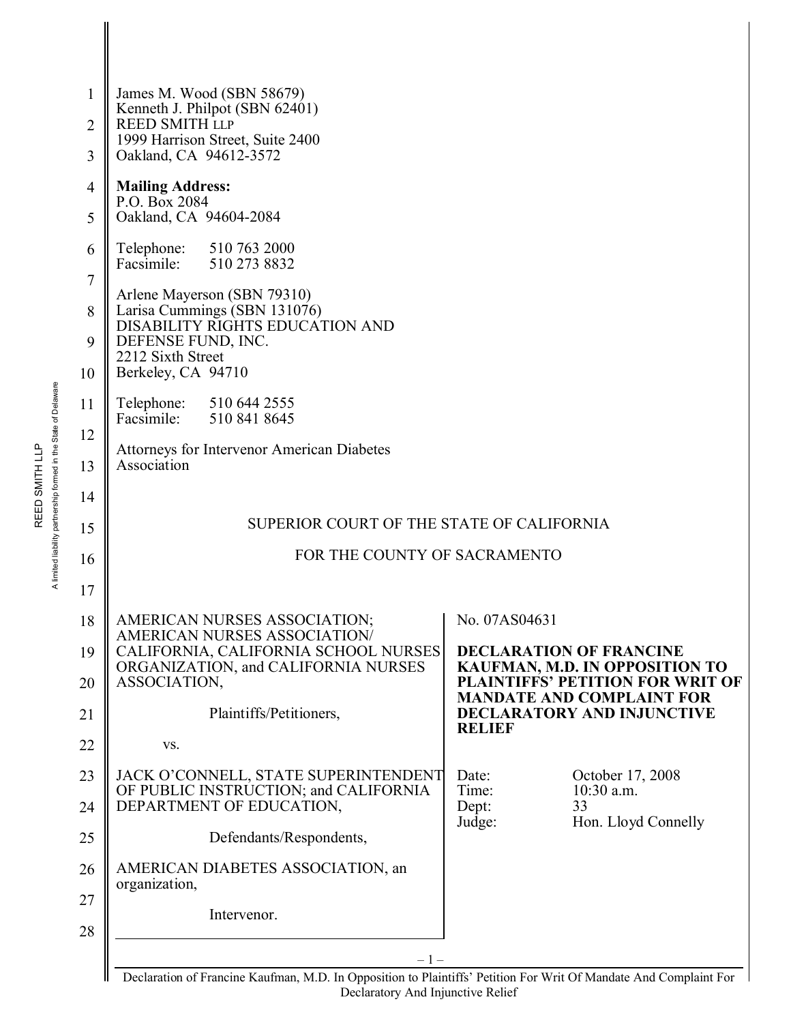| 1        | James M. Wood (SBN 58679)                                                                                         |                                                                             |
|----------|-------------------------------------------------------------------------------------------------------------------|-----------------------------------------------------------------------------|
| 2        | Kenneth J. Philpot (SBN 62401)<br><b>REED SMITH LLP</b>                                                           |                                                                             |
| 3        | 1999 Harrison Street, Suite 2400<br>Oakland, CA 94612-3572                                                        |                                                                             |
| 4        | <b>Mailing Address:</b>                                                                                           |                                                                             |
| 5        | P.O. Box 2084<br>Oakland, CA 94604-2084                                                                           |                                                                             |
| 6        | Telephone: 510 763 2000<br>Facsimile: 510 273 8832                                                                |                                                                             |
| 7        | Arlene Mayerson (SBN 79310)                                                                                       |                                                                             |
| 8<br>9   | Larisa Cummings (SBN 131076)<br>DISABILITY RIGHTS EDUCATION AND<br>DEFENSE FUND, INC.                             |                                                                             |
| 10       | 2212 Sixth Street<br>Berkeley, CA 94710                                                                           |                                                                             |
| 11       | Telephone: 510 644 2555<br>Facsimile: 510 841 8645                                                                |                                                                             |
| 12       | <b>Attorneys for Intervenor American Diabetes</b>                                                                 |                                                                             |
| 13       | Association                                                                                                       |                                                                             |
| 14       |                                                                                                                   |                                                                             |
| 15       | SUPERIOR COURT OF THE STATE OF CALIFORNIA                                                                         |                                                                             |
| 16       | FOR THE COUNTY OF SACRAMENTO                                                                                      |                                                                             |
| 17       |                                                                                                                   |                                                                             |
| 18       | AMERICAN NURSES ASSOCIATION;<br><b>AMERICAN NURSES ASSOCIATION/</b>                                               | No. 07AS04631                                                               |
| 19       | CALIFORNIA, CALIFORNIA SCHOOL NURSES<br>ORGANIZATION, and CALIFORNIA NURSES                                       | <b>DECLARATION OF FRANCINE</b><br>KAUFMAN, M.D. IN OPPOSITION TO            |
| 20       | ASSOCIATION,                                                                                                      | <b>PLAINTIFFS' PETITION FOR WRIT OF</b><br><b>MANDATE AND COMPLAINT FOR</b> |
| 21       | Plaintiffs/Petitioners,                                                                                           | <b>DECLARATORY AND INJUNCTIVE</b><br><b>RELIEF</b>                          |
| 22       | VS.                                                                                                               |                                                                             |
| 23       | JACK O'CONNELL, STATE SUPERINTENDENT<br>OF PUBLIC INSTRUCTION; and CALIFORNIA                                     | Date:<br>October 17, 2008<br>$10:30$ a.m.<br>Time:                          |
| 24       | DEPARTMENT OF EDUCATION,                                                                                          | Dept:<br>33<br>Hon. Lloyd Connelly<br>Judge:                                |
| 25       | Defendants/Respondents,                                                                                           |                                                                             |
| 26       | AMERICAN DIABETES ASSOCIATION, an<br>organization,                                                                |                                                                             |
| 27<br>28 | Intervenor.                                                                                                       |                                                                             |
|          | $-1-$                                                                                                             |                                                                             |
|          | Declaration of Francine Kaufman, M.D. In Opposition to Plaintiffs' Petition For Writ Of Mandate And Complaint For |                                                                             |

Declaration of Francine Kaufman, M.D. In Opposition to Plaintiffs' Petition For Writ Of Mandate And Complaint For Declaratory And Injunctive Relief

A limited liability partnership formed in the State of Delaware A limited liability partnership formed in the State of Delaware REED SMITH LLP REED SMITH LLP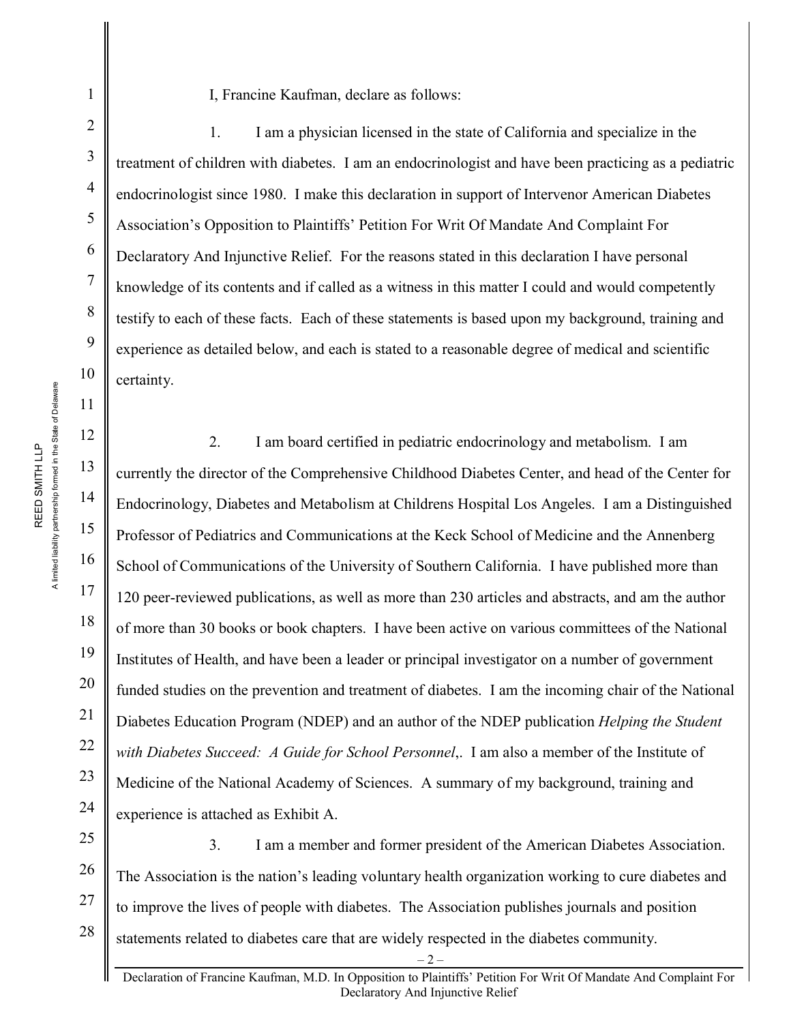A limited liability partnership formed in the State of Delaware A limited liability partnership formed in the State of Delaware REED SMITH LLP

REED SMITH LLP

1

2

3

4

5

6

7

8

9

10

11

12

13

14

15

16

17

18

19

20

21

22

23

24

## I, Francine Kaufman, declare as follows:

1. I am a physician licensed in the state of California and specialize in the treatment of children with diabetes. I am an endocrinologist and have been practicing as a pediatric endocrinologist since 1980. I make this declaration in support of Intervenor American Diabetes Association's Opposition to Plaintiffs' Petition For Writ Of Mandate And Complaint For Declaratory And Injunctive Relief. For the reasons stated in this declaration I have personal knowledge of its contents and if called as a witness in this matter I could and would competently testify to each of these facts. Each of these statements is based upon my background, training and experience as detailed below, and each is stated to a reasonable degree of medical and scientific certainty.

2. I am board certified in pediatric endocrinology and metabolism. I am currently the director of the Comprehensive Childhood Diabetes Center, and head of the Center for Endocrinology, Diabetes and Metabolism at Childrens Hospital Los Angeles. I am a Distinguished Professor of Pediatrics and Communications at the Keck School of Medicine and the Annenberg School of Communications of the University of Southern California. I have published more than 120 peer-reviewed publications, as well as more than 230 articles and abstracts, and am the author of more than 30 books or book chapters. I have been active on various committees of the National Institutes of Health, and have been a leader or principal investigator on a number of government funded studies on the prevention and treatment of diabetes. I am the incoming chair of the National Diabetes Education Program (NDEP) and an author of the NDEP publication *Helping the Student with Diabetes Succeed: A Guide for School Personnel*,. I am also a member of the Institute of Medicine of the National Academy of Sciences. A summary of my background, training and experience is attached as Exhibit A.

25 26 27 28 3. I am a member and former president of the American Diabetes Association. The Association is the nation's leading voluntary health organization working to cure diabetes and to improve the lives of people with diabetes. The Association publishes journals and position statements related to diabetes care that are widely respected in the diabetes community.

 $-2-$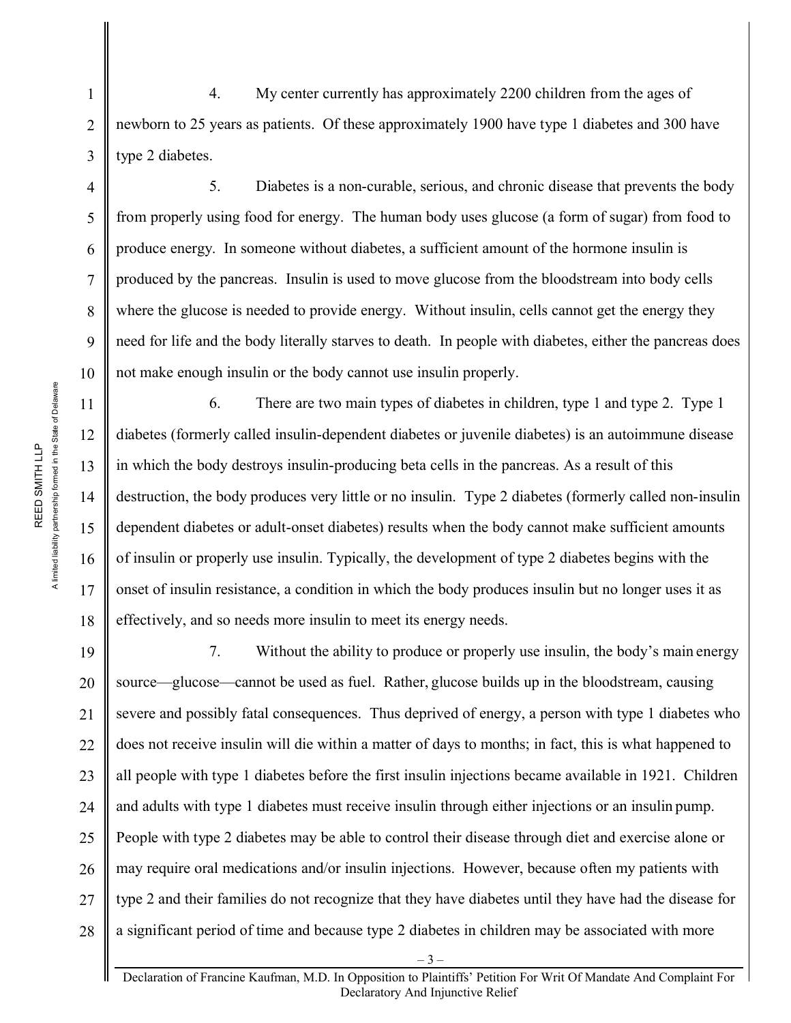4. My center currently has approximately 2200 children from the ages of newborn to 25 years as patients. Of these approximately 1900 have type 1 diabetes and 300 have type 2 diabetes.

5. Diabetes is a non-curable, serious, and chronic disease that prevents the body from properly using food for energy. The human body uses glucose (a form of sugar) from food to produce energy. In someone without diabetes, a sufficient amount of the hormone insulin is produced by the pancreas. Insulin is used to move glucose from the bloodstream into body cells where the glucose is needed to provide energy. Without insulin, cells cannot get the energy they need for life and the body literally starves to death. In people with diabetes, either the pancreas does not make enough insulin or the body cannot use insulin properly.

6. There are two main types of diabetes in children, type 1 and type 2. Type 1 diabetes (formerly called insulin-dependent diabetes or juvenile diabetes) is an autoimmune disease in which the body destroys insulin-producing beta cells in the pancreas. As a result of this destruction, the body produces very little or no insulin. Type 2 diabetes (formerly called non-insulin dependent diabetes or adult-onset diabetes) results when the body cannot make sufficient amounts of insulin or properly use insulin. Typically, the development of type 2 diabetes begins with the onset of insulin resistance, a condition in which the body produces insulin but no longer uses it as effectively, and so needs more insulin to meet its energy needs.

19 20 21 22 23 24 25 26 27 28 7. Without the ability to produce or properly use insulin, the body's main energy source—glucose—cannot be used as fuel. Rather, glucose builds up in the bloodstream, causing severe and possibly fatal consequences. Thus deprived of energy, a person with type 1 diabetes who does not receive insulin will die within a matter of days to months; in fact, this is what happened to all people with type 1 diabetes before the first insulin injections became available in 1921. Children and adults with type 1 diabetes must receive insulin through either injections or an insulin pump. People with type 2 diabetes may be able to control their disease through diet and exercise alone or may require oral medications and/or insulin injections. However, because often my patients with type 2 and their families do not recognize that they have diabetes until they have had the disease for a significant period of time and because type 2 diabetes in children may be associated with more

1

2

3

4

5

6

7

8

9

10

11

12

13

14

15

16

17

18

Declaration of Francine Kaufman, M.D. In Opposition to Plaintiffs' Petition For Writ Of Mandate And Complaint For Declaratory And Injunctive Relief

– 3 –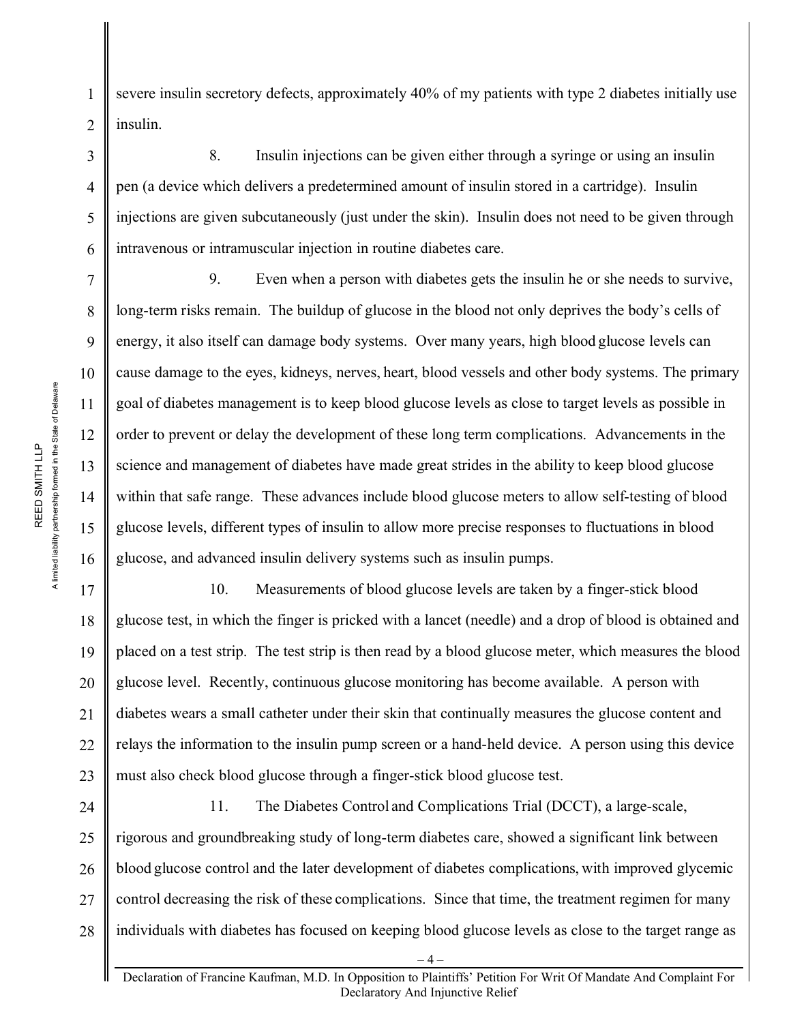severe insulin secretory defects, approximately 40% of my patients with type 2 diabetes initially use insulin.

8. Insulin injections can be given either through a syringe or using an insulin pen (a device which delivers a predetermined amount of insulin stored in a cartridge). Insulin injections are given subcutaneously (just under the skin). Insulin does not need to be given through intravenous or intramuscular injection in routine diabetes care.

9. Even when a person with diabetes gets the insulin he or she needs to survive, long-term risks remain. The buildup of glucose in the blood not only deprives the body's cells of energy, it also itself can damage body systems. Over many years, high blood glucose levels can cause damage to the eyes, kidneys, nerves, heart, blood vessels and other body systems. The primary goal of diabetes management is to keep blood glucose levels as close to target levels as possible in order to prevent or delay the development of these long term complications. Advancements in the science and management of diabetes have made great strides in the ability to keep blood glucose within that safe range. These advances include blood glucose meters to allow self-testing of blood glucose levels, different types of insulin to allow more precise responses to fluctuations in blood glucose, and advanced insulin delivery systems such as insulin pumps.

10. Measurements of blood glucose levels are taken by a finger-stick blood glucose test, in which the finger is pricked with a lancet (needle) and a drop of blood is obtained and placed on a test strip. The test strip is then read by a blood glucose meter, which measures the blood glucose level. Recently, continuous glucose monitoring has become available. A person with diabetes wears a small catheter under their skin that continually measures the glucose content and relays the information to the insulin pump screen or a hand-held device. A person using this device must also check blood glucose through a finger-stick blood glucose test.

24 25 26 27 28 11. The Diabetes Control and Complications Trial (DCCT), a large-scale, rigorous and groundbreaking study of long-term diabetes care, showed a significant link between blood glucose control and the later development of diabetes complications, with improved glycemic control decreasing the risk of these complications. Since that time, the treatment regimen for many individuals with diabetes has focused on keeping blood glucose levels as close to the target range as

1

2

3

4

5

6

7

8

9

10

11

12

13

14

15

16

17

18

19

20

21

22

23

Declaration of Francine Kaufman, M.D. In Opposition to Plaintiffs' Petition For Writ Of Mandate And Complaint For Declaratory And Injunctive Relief

 $-4-$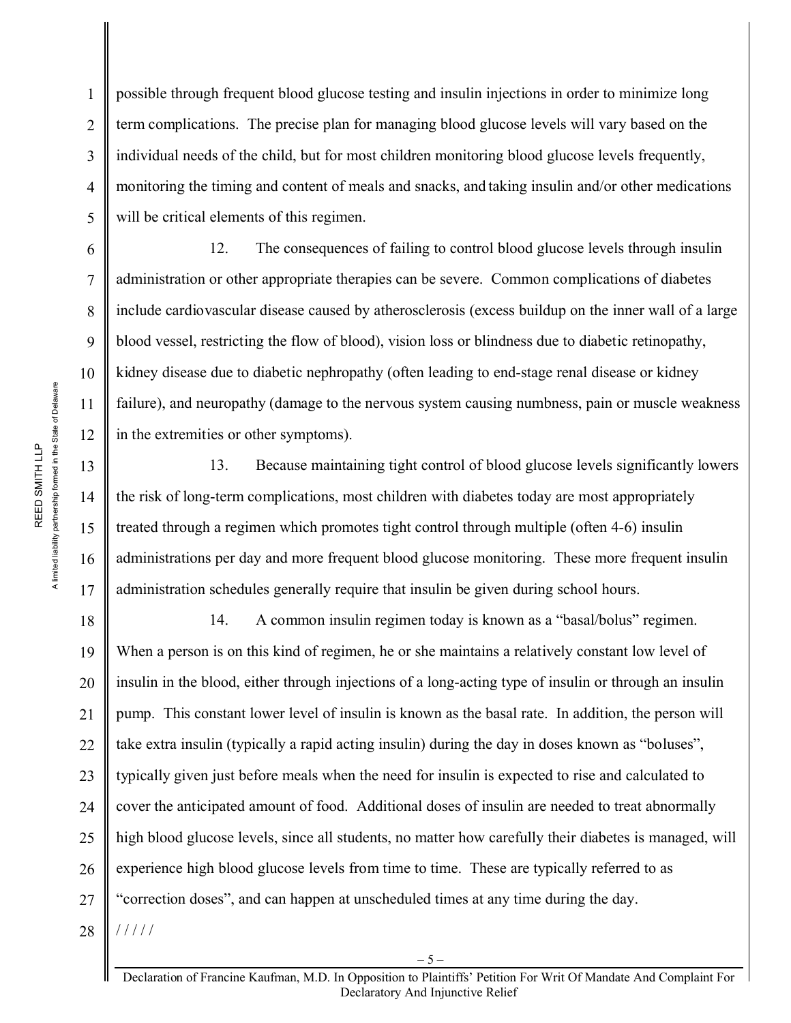A limited liability partnership formed in the State of Delaware A limited liability partnership formed in the State of Delaware REED SMITH LLP REED SMITH LLP

1

2

3

4

5

6

7

8

9

10

11

12

13

14

15

16

17

18

19

21

22

23

25

26

27

28

possible through frequent blood glucose testing and insulin injections in order to minimize long term complications. The precise plan for managing blood glucose levels will vary based on the individual needs of the child, but for most children monitoring blood glucose levels frequently, monitoring the timing and content of meals and snacks, and taking insulin and/or other medications will be critical elements of this regimen.

12. The consequences of failing to control blood glucose levels through insulin administration or other appropriate therapies can be severe. Common complications of diabetes include cardiovascular disease caused by atherosclerosis (excess buildup on the inner wall of a large blood vessel, restricting the flow of blood), vision loss or blindness due to diabetic retinopathy, kidney disease due to diabetic nephropathy (often leading to end-stage renal disease or kidney failure), and neuropathy (damage to the nervous system causing numbness, pain or muscle weakness in the extremities or other symptoms).

13. Because maintaining tight control of blood glucose levels significantly lowers the risk of long-term complications, most children with diabetes today are most appropriately treated through a regimen which promotes tight control through multiple (often 4-6) insulin administrations per day and more frequent blood glucose monitoring. These more frequent insulin administration schedules generally require that insulin be given during school hours.

20 24 14. A common insulin regimen today is known as a "basal/bolus" regimen. When a person is on this kind of regimen, he or she maintains a relatively constant low level of insulin in the blood, either through injections of a long-acting type of insulin or through an insulin pump. This constant lower level of insulin is known as the basal rate. In addition, the person will take extra insulin (typically a rapid acting insulin) during the day in doses known as "boluses", typically given just before meals when the need for insulin is expected to rise and calculated to cover the anticipated amount of food. Additional doses of insulin are needed to treat abnormally high blood glucose levels, since all students, no matter how carefully their diabetes is managed, will experience high blood glucose levels from time to time. These are typically referred to as "correction doses", and can happen at unscheduled times at any time during the day. / / / / /

Declaration of Francine Kaufman, M.D. In Opposition to Plaintiffs' Petition For Writ Of Mandate And Complaint For Declaratory And Injunctive Relief

 $-5-$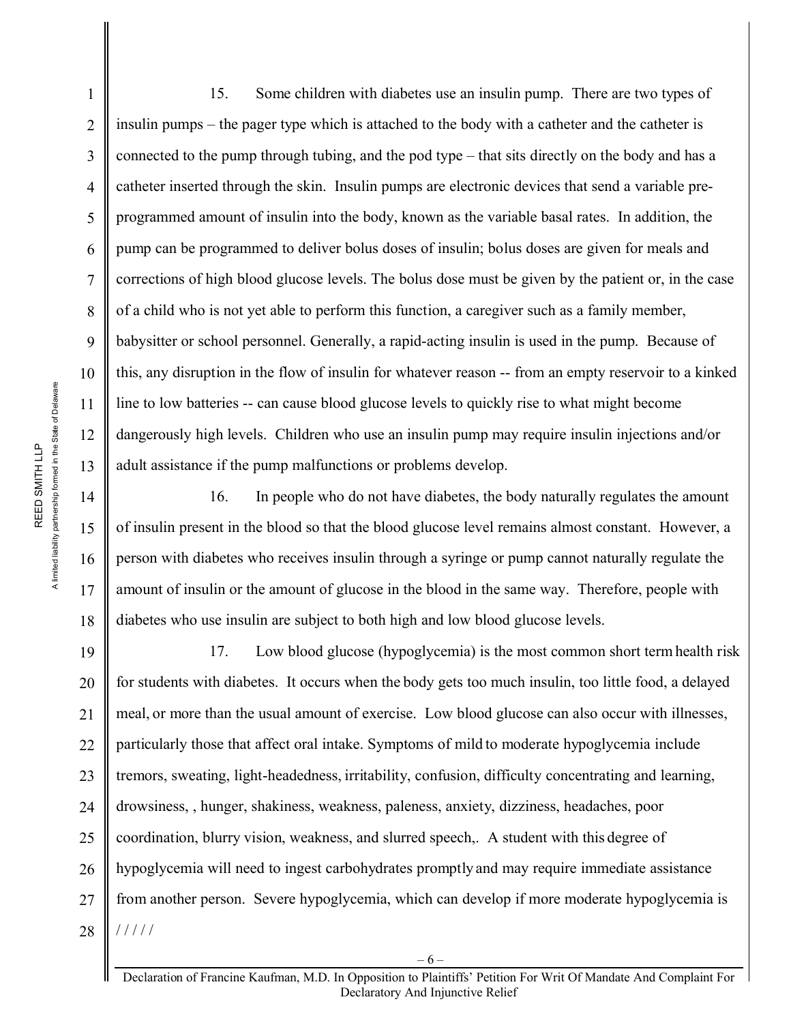A limited liability partnership formed in the State of Delaware A limited liability partnership formed in the State of Delaware REED SMITH LLP REED SMITH LLP

14

15

16

17

18

1 2 3 4 5 6 7 8 9 10 11 12 13 15. Some children with diabetes use an insulin pump. There are two types of insulin pumps – the pager type which is attached to the body with a catheter and the catheter is connected to the pump through tubing, and the pod type – that sits directly on the body and has a catheter inserted through the skin. Insulin pumps are electronic devices that send a variable preprogrammed amount of insulin into the body, known as the variable basal rates. In addition, the pump can be programmed to deliver bolus doses of insulin; bolus doses are given for meals and corrections of high blood glucose levels. The bolus dose must be given by the patient or, in the case of a child who is not yet able to perform this function, a caregiver such as a family member, babysitter or school personnel. Generally, a rapid-acting insulin is used in the pump. Because of this, any disruption in the flow of insulin for whatever reason -- from an empty reservoir to a kinked line to low batteries -- can cause blood glucose levels to quickly rise to what might become dangerously high levels. Children who use an insulin pump may require insulin injections and/or adult assistance if the pump malfunctions or problems develop.

16. In people who do not have diabetes, the body naturally regulates the amount of insulin present in the blood so that the blood glucose level remains almost constant. However, a person with diabetes who receives insulin through a syringe or pump cannot naturally regulate the amount of insulin or the amount of glucose in the blood in the same way. Therefore, people with diabetes who use insulin are subject to both high and low blood glucose levels.

19 20 21 22 23 24 25 26 27 28 17. Low blood glucose (hypoglycemia) is the most common short term health risk for students with diabetes. It occurs when the body gets too much insulin, too little food, a delayed meal, or more than the usual amount of exercise. Low blood glucose can also occur with illnesses, particularly those that affect oral intake. Symptoms of mild to moderate hypoglycemia include tremors, sweating, light-headedness, irritability, confusion, difficulty concentrating and learning, drowsiness, , hunger, shakiness, weakness, paleness, anxiety, dizziness, headaches, poor coordination, blurry vision, weakness, and slurred speech,. A student with this degree of hypoglycemia will need to ingest carbohydrates promptly and may require immediate assistance from another person. Severe hypoglycemia, which can develop if more moderate hypoglycemia is / / / / /

Declaration of Francine Kaufman, M.D. In Opposition to Plaintiffs' Petition For Writ Of Mandate And Complaint For Declaratory And Injunctive Relief

 $-6-$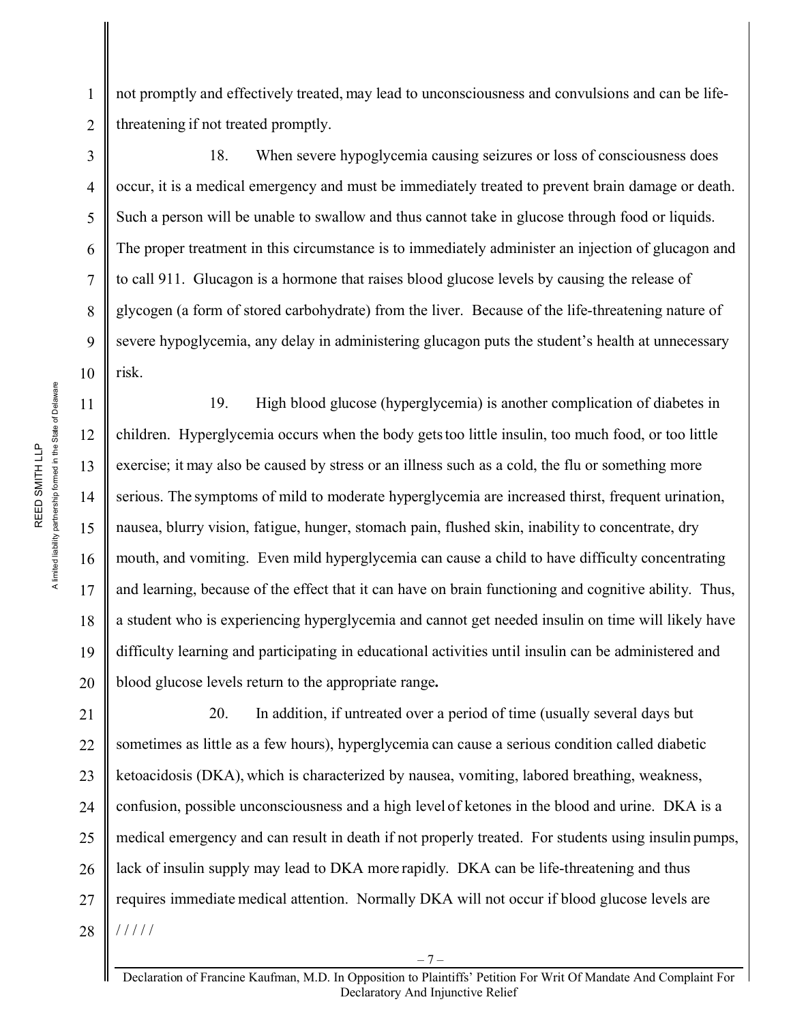not promptly and effectively treated, may lead to unconsciousness and convulsions and can be lifethreatening if not treated promptly.

18. When severe hypoglycemia causing seizures or loss of consciousness does occur, it is a medical emergency and must be immediately treated to prevent brain damage or death. Such a person will be unable to swallow and thus cannot take in glucose through food or liquids. The proper treatment in this circumstance is to immediately administer an injection of glucagon and to call 911. Glucagon is a hormone that raises blood glucose levels by causing the release of glycogen (a form of stored carbohydrate) from the liver. Because of the life-threatening nature of severe hypoglycemia, any delay in administering glucagon puts the student's health at unnecessary risk.

19. High blood glucose (hyperglycemia) is another complication of diabetes in children. Hyperglycemia occurs when the body getstoo little insulin, too much food, or too little exercise; it may also be caused by stress or an illness such as a cold, the flu or something more serious. The symptoms of mild to moderate hyperglycemia are increased thirst, frequent urination, nausea, blurry vision, fatigue, hunger, stomach pain, flushed skin, inability to concentrate, dry mouth, and vomiting. Even mild hyperglycemia can cause a child to have difficulty concentrating and learning, because of the effect that it can have on brain functioning and cognitive ability. Thus, a student who is experiencing hyperglycemia and cannot get needed insulin on time will likely have difficulty learning and participating in educational activities until insulin can be administered and blood glucose levels return to the appropriate range**.**

21 22 23 24 25 26 27 28 20. In addition, if untreated over a period of time (usually several days but sometimes as little as a few hours), hyperglycemia can cause a serious condition called diabetic ketoacidosis (DKA), which is characterized by nausea, vomiting, labored breathing, weakness, confusion, possible unconsciousness and a high level of ketones in the blood and urine. DKA is a medical emergency and can result in death if not properly treated. For students using insulin pumps, lack of insulin supply may lead to DKA more rapidly. DKA can be life-threatening and thus requires immediate medical attention. Normally DKA will not occur if blood glucose levels are / / / / /

1

2

3

4

5

6

7

8

9

10

11

12

13

14

15

16

17

18

19

20

Declaration of Francine Kaufman, M.D. In Opposition to Plaintiffs' Petition For Writ Of Mandate And Complaint For Declaratory And Injunctive Relief

 $-7-$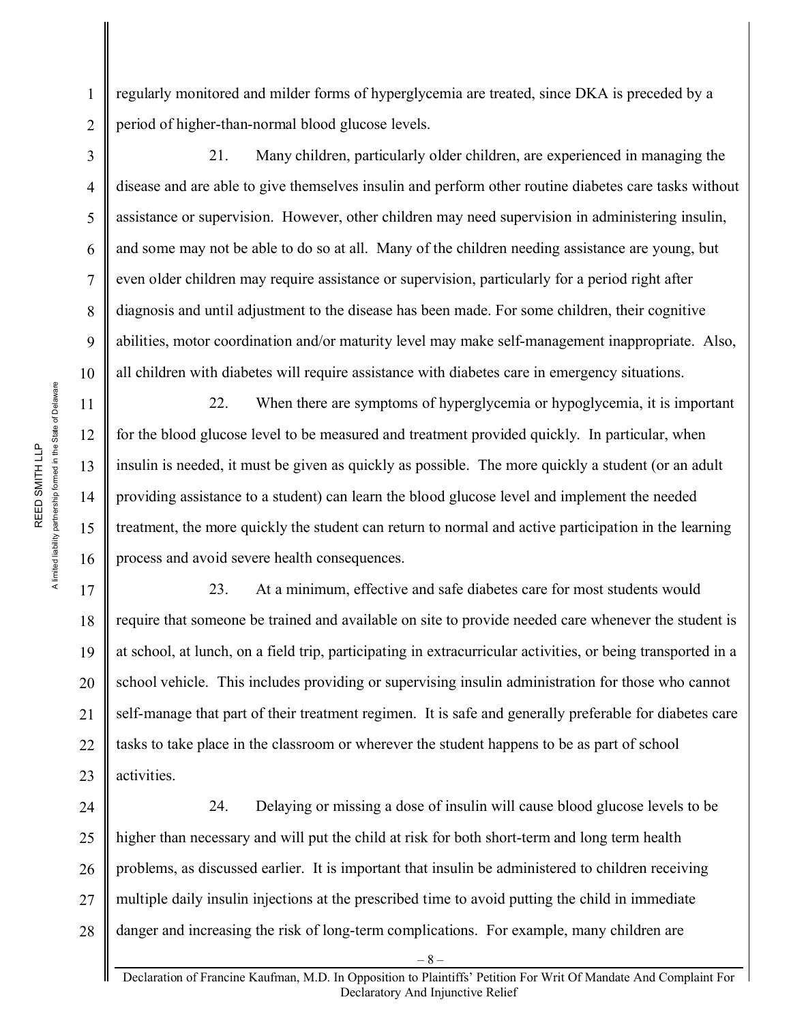regularly monitored and milder forms of hyperglycemia are treated, since DKA is preceded by a period of higher-than-normal blood glucose levels.

21. Many children, particularly older children, are experienced in managing the disease and are able to give themselves insulin and perform other routine diabetes care tasks without assistance or supervision. However, other children may need supervision in administering insulin, and some may not be able to do so at all. Many of the children needing assistance are young, but even older children may require assistance or supervision, particularly for a period right after diagnosis and until adjustment to the disease has been made. For some children, their cognitive abilities, motor coordination and/or maturity level may make self-management inappropriate. Also, all children with diabetes will require assistance with diabetes care in emergency situations.

22. When there are symptoms of hyperglycemia or hypoglycemia, it is important for the blood glucose level to be measured and treatment provided quickly. In particular, when insulin is needed, it must be given as quickly as possible. The more quickly a student (or an adult providing assistance to a student) can learn the blood glucose level and implement the needed treatment, the more quickly the student can return to normal and active participation in the learning process and avoid severe health consequences.

23. At a minimum, effective and safe diabetes care for most students would require that someone be trained and available on site to provide needed care whenever the student is at school, at lunch, on a field trip, participating in extracurricular activities, or being transported in a school vehicle. This includes providing or supervising insulin administration for those who cannot self-manage that part of their treatment regimen. It is safe and generally preferable for diabetes care tasks to take place in the classroom or wherever the student happens to be as part of school activities.

24 25 26 27 28 24. Delaying or missing a dose of insulin will cause blood glucose levels to be higher than necessary and will put the child at risk for both short-term and long term health problems, as discussed earlier. It is important that insulin be administered to children receiving multiple daily insulin injections at the prescribed time to avoid putting the child in immediate danger and increasing the risk of long-term complications. For example, many children are

1

2

3

4

5

6

7

8

9

10

11

12

13

14

15

16

17

18

19

20

21

22

23

– 8 –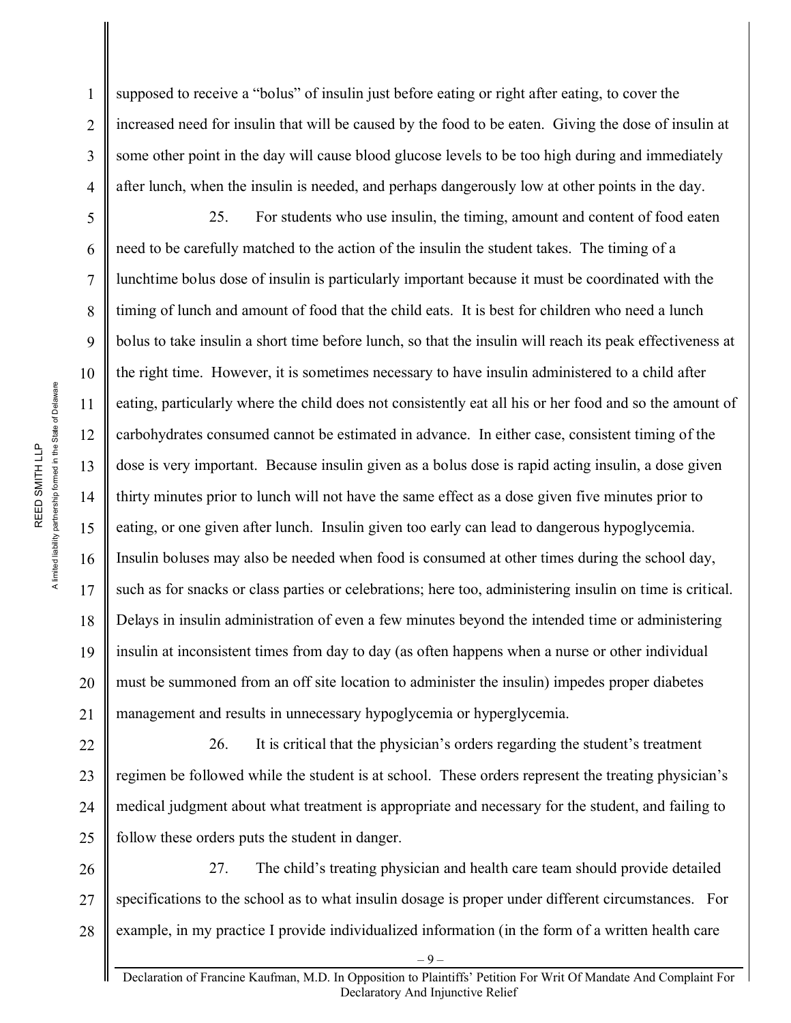A limited liability partnership formed in the State of Delaware A limited liability partnership formed in the State of Delaware REED SMITH LLP REED SMITH LLP

1

2

3

4

5

6

7

8

9

10

11

12

13

14

15

16

17

18

19

20

21

supposed to receive a "bolus" of insulin just before eating or right after eating, to cover the increased need for insulin that will be caused by the food to be eaten. Giving the dose of insulin at some other point in the day will cause blood glucose levels to be too high during and immediately after lunch, when the insulin is needed, and perhaps dangerously low at other points in the day.

25. For students who use insulin, the timing, amount and content of food eaten need to be carefully matched to the action of the insulin the student takes. The timing of a lunchtime bolus dose of insulin is particularly important because it must be coordinated with the timing of lunch and amount of food that the child eats. It is best for children who need a lunch bolus to take insulin a short time before lunch, so that the insulin will reach its peak effectiveness at the right time. However, it is sometimes necessary to have insulin administered to a child after eating, particularly where the child does not consistently eat all his or her food and so the amount of carbohydrates consumed cannot be estimated in advance. In either case, consistent timing of the dose is very important. Because insulin given as a bolus dose is rapid acting insulin, a dose given thirty minutes prior to lunch will not have the same effect as a dose given five minutes prior to eating, or one given after lunch. Insulin given too early can lead to dangerous hypoglycemia. Insulin boluses may also be needed when food is consumed at other times during the school day, such as for snacks or class parties or celebrations; here too, administering insulin on time is critical. Delays in insulin administration of even a few minutes beyond the intended time or administering insulin at inconsistent times from day to day (as often happens when a nurse or other individual must be summoned from an off site location to administer the insulin) impedes proper diabetes management and results in unnecessary hypoglycemia or hyperglycemia.

22 23 24 25 26. It is critical that the physician's orders regarding the student's treatment regimen be followed while the student is at school. These orders represent the treating physician's medical judgment about what treatment is appropriate and necessary for the student, and failing to follow these orders puts the student in danger.

26 27 28 27. The child's treating physician and health care team should provide detailed specifications to the school as to what insulin dosage is proper under different circumstances. For example, in my practice I provide individualized information (in the form of a written health care

<sup>–</sup> 9 –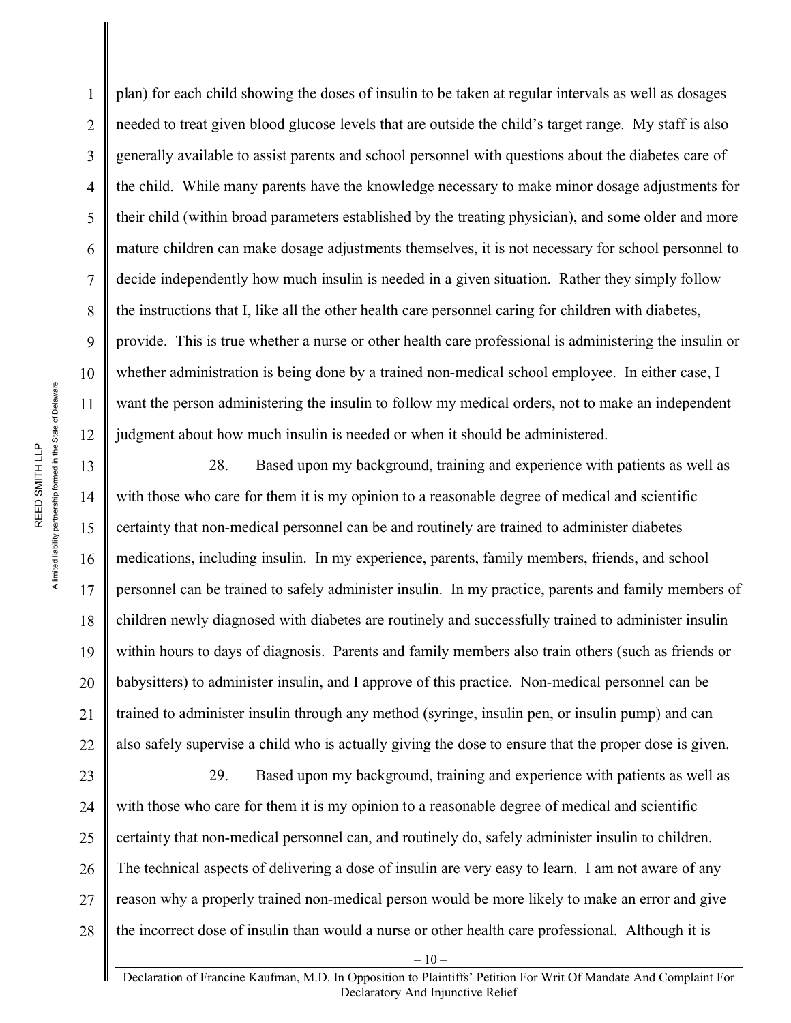plan) for each child showing the doses of insulin to be taken at regular intervals as well as dosages needed to treat given blood glucose levels that are outside the child's target range. My staff is also generally available to assist parents and school personnel with questions about the diabetes care of the child. While many parents have the knowledge necessary to make minor dosage adjustments for their child (within broad parameters established by the treating physician), and some older and more mature children can make dosage adjustments themselves, it is not necessary for school personnel to decide independently how much insulin is needed in a given situation. Rather they simply follow the instructions that I, like all the other health care personnel caring for children with diabetes, provide. This is true whether a nurse or other health care professional is administering the insulin or whether administration is being done by a trained non-medical school employee. In either case, I want the person administering the insulin to follow my medical orders, not to make an independent judgment about how much insulin is needed or when it should be administered.

28. Based upon my background, training and experience with patients as well as with those who care for them it is my opinion to a reasonable degree of medical and scientific certainty that non-medical personnel can be and routinely are trained to administer diabetes medications, including insulin. In my experience, parents, family members, friends, and school personnel can be trained to safely administer insulin. In my practice, parents and family members of children newly diagnosed with diabetes are routinely and successfully trained to administer insulin within hours to days of diagnosis. Parents and family members also train others (such as friends or babysitters) to administer insulin, and I approve of this practice. Non-medical personnel can be trained to administer insulin through any method (syringe, insulin pen, or insulin pump) and can also safely supervise a child who is actually giving the dose to ensure that the proper dose is given.

23 24 25 26 27 28 29. Based upon my background, training and experience with patients as well as with those who care for them it is my opinion to a reasonable degree of medical and scientific certainty that non-medical personnel can, and routinely do, safely administer insulin to children. The technical aspects of delivering a dose of insulin are very easy to learn. I am not aware of any reason why a properly trained non-medical person would be more likely to make an error and give the incorrect dose of insulin than would a nurse or other health care professional. Although it is

1

2

3

4

5

6

7

8

9

10

11

12

13

14

15

16

17

18

19

20

21

22

Declaration of Francine Kaufman, M.D. In Opposition to Plaintiffs' Petition For Writ Of Mandate And Complaint For Declaratory And Injunctive Relief

 $-10-$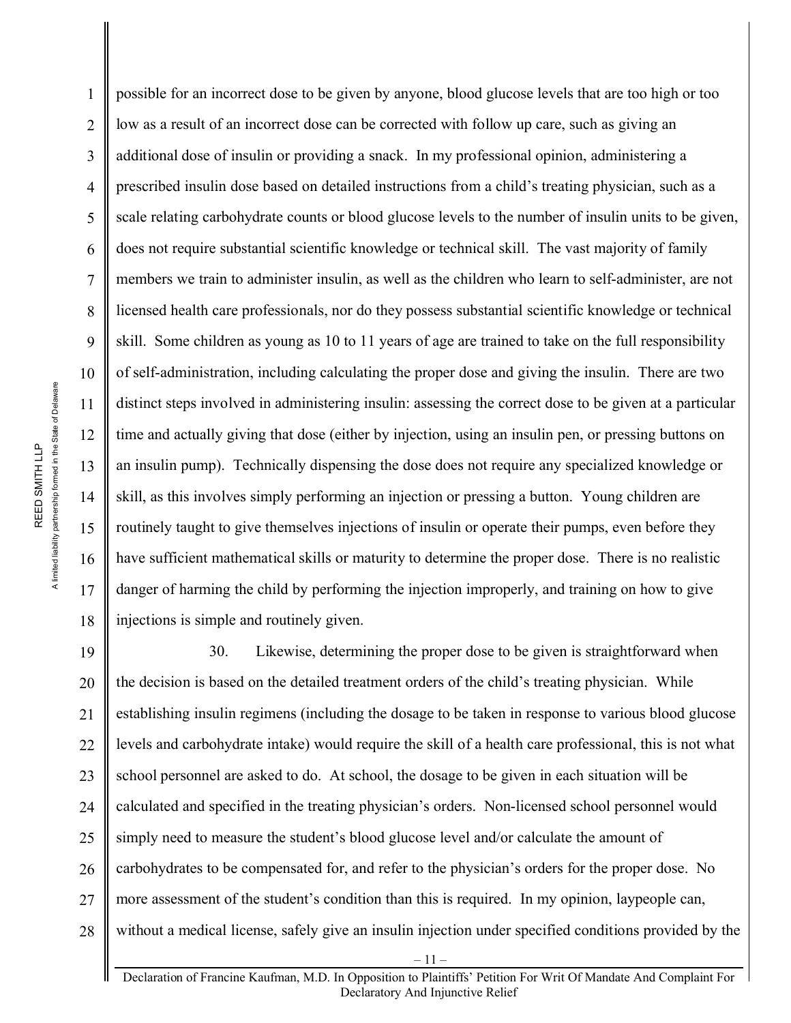possible for an incorrect dose to be given by anyone, blood glucose levels that are too high or too low as a result of an incorrect dose can be corrected with follow up care, such as giving an additional dose of insulin or providing a snack. In my professional opinion, administering a prescribed insulin dose based on detailed instructions from a child's treating physician, such as a scale relating carbohydrate counts or blood glucose levels to the number of insulin units to be given, does not require substantial scientific knowledge or technical skill. The vast majority of family members we train to administer insulin, as well as the children who learn to self-administer, are not licensed health care professionals, nor do they possess substantial scientific knowledge or technical skill. Some children as young as 10 to 11 years of age are trained to take on the full responsibility of self-administration, including calculating the proper dose and giving the insulin. There are two distinct steps involved in administering insulin: assessing the correct dose to be given at a particular time and actually giving that dose (either by injection, using an insulin pen, or pressing buttons on an insulin pump). Technically dispensing the dose does not require any specialized knowledge or skill, as this involves simply performing an injection or pressing a button. Young children are routinely taught to give themselves injections of insulin or operate their pumps, even before they have sufficient mathematical skills or maturity to determine the proper dose. There is no realistic danger of harming the child by performing the injection improperly, and training on how to give injections is simple and routinely given.

19 20 21 22 23 24 25 26 27 28 30. Likewise, determining the proper dose to be given is straightforward when the decision is based on the detailed treatment orders of the child's treating physician. While establishing insulin regimens (including the dosage to be taken in response to various blood glucose levels and carbohydrate intake) would require the skill of a health care professional, this is not what school personnel are asked to do. At school, the dosage to be given in each situation will be calculated and specified in the treating physician's orders. Non-licensed school personnel would simply need to measure the student's blood glucose level and/or calculate the amount of carbohydrates to be compensated for, and refer to the physician's orders for the proper dose. No more assessment of the student's condition than this is required. In my opinion, laypeople can, without a medical license, safely give an insulin injection under specified conditions provided by the

1

2

3

4

5

6

7

8

9

10

11

12

13

14

15

16

17

18

Declaration of Francine Kaufman, M.D. In Opposition to Plaintiffs' Petition For Writ Of Mandate And Complaint For Declaratory And Injunctive Relief

– 11 –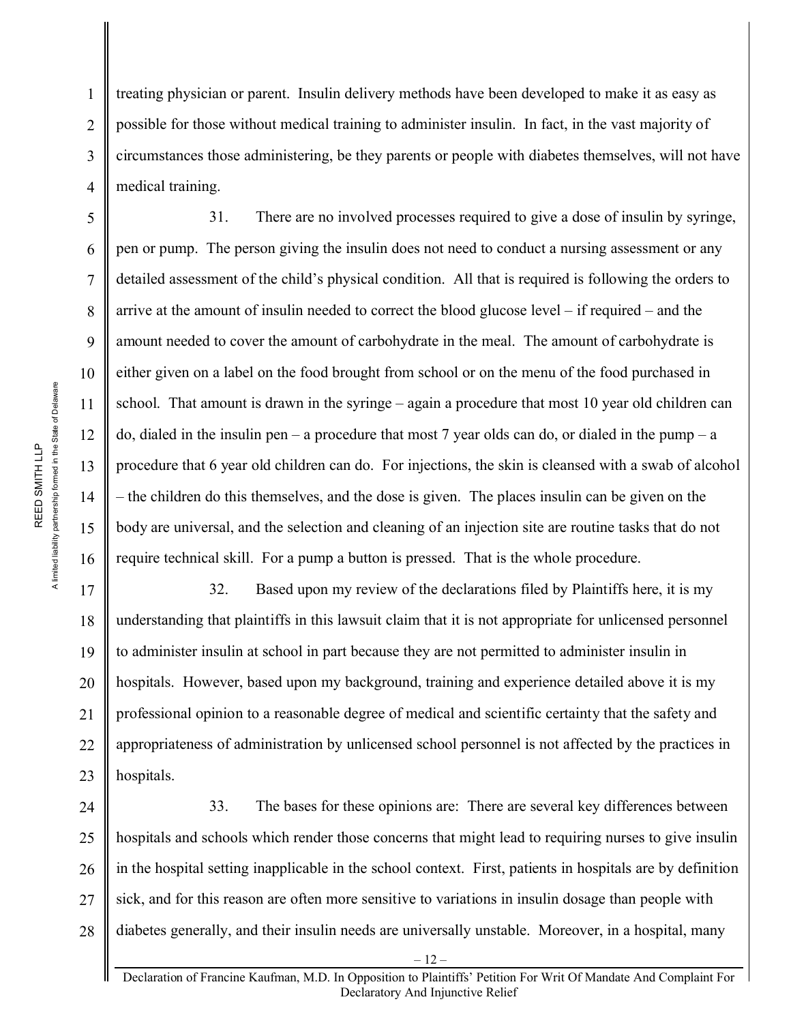treating physician or parent. Insulin delivery methods have been developed to make it as easy as possible for those without medical training to administer insulin. In fact, in the vast majority of circumstances those administering, be they parents or people with diabetes themselves, will not have medical training.

31. There are no involved processes required to give a dose of insulin by syringe, pen or pump. The person giving the insulin does not need to conduct a nursing assessment or any detailed assessment of the child's physical condition. All that is required is following the orders to arrive at the amount of insulin needed to correct the blood glucose level – if required – and the amount needed to cover the amount of carbohydrate in the meal. The amount of carbohydrate is either given on a label on the food brought from school or on the menu of the food purchased in school. That amount is drawn in the syringe – again a procedure that most 10 year old children can do, dialed in the insulin pen – a procedure that most 7 year olds can do, or dialed in the pump – a procedure that 6 year old children can do. For injections, the skin is cleansed with a swab of alcohol – the children do this themselves, and the dose is given. The places insulin can be given on the body are universal, and the selection and cleaning of an injection site are routine tasks that do not require technical skill. For a pump a button is pressed. That is the whole procedure.

19 20 32. Based upon my review of the declarations filed by Plaintiffs here, it is my understanding that plaintiffs in this lawsuit claim that it is not appropriate for unlicensed personnel to administer insulin at school in part because they are not permitted to administer insulin in hospitals. However, based upon my background, training and experience detailed above it is my professional opinion to a reasonable degree of medical and scientific certainty that the safety and appropriateness of administration by unlicensed school personnel is not affected by the practices in hospitals.

28 33. The bases for these opinions are: There are several key differences between hospitals and schools which render those concerns that might lead to requiring nurses to give insulin in the hospital setting inapplicable in the school context. First, patients in hospitals are by definition sick, and for this reason are often more sensitive to variations in insulin dosage than people with diabetes generally, and their insulin needs are universally unstable. Moreover, in a hospital, many

1

2

3

4

5

6

7

8

9

10

11

12

13

14

15

16

17

18

21

22

23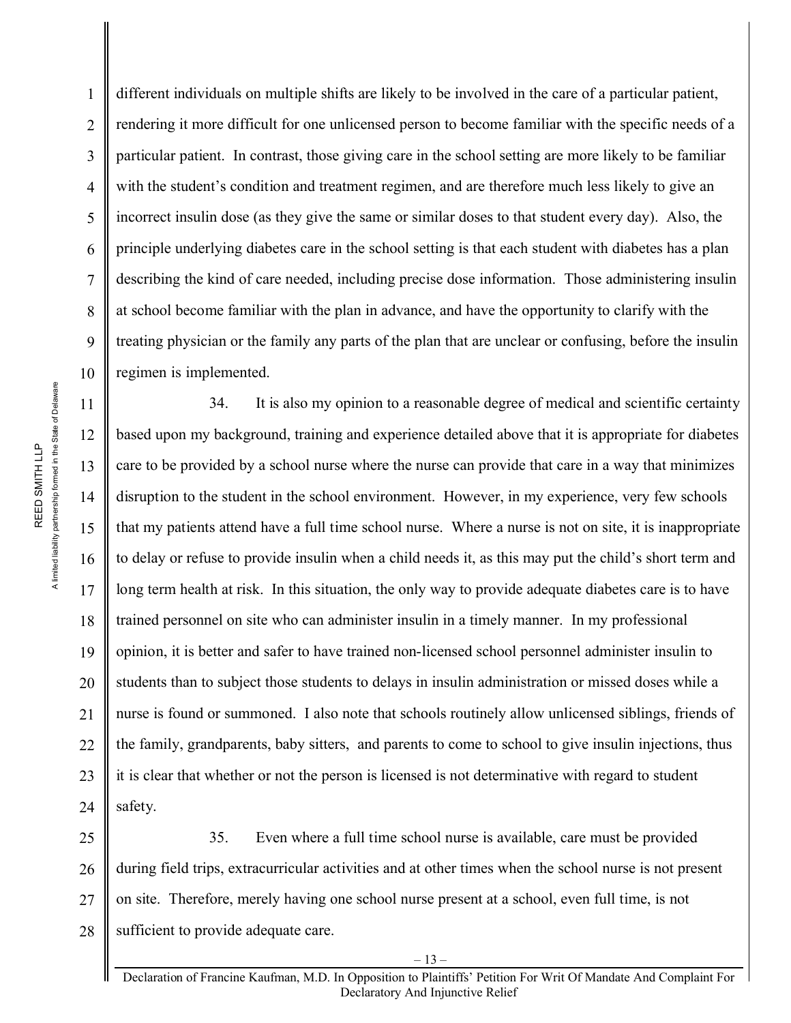different individuals on multiple shifts are likely to be involved in the care of a particular patient, rendering it more difficult for one unlicensed person to become familiar with the specific needs of a particular patient. In contrast, those giving care in the school setting are more likely to be familiar with the student's condition and treatment regimen, and are therefore much less likely to give an incorrect insulin dose (as they give the same or similar doses to that student every day). Also, the principle underlying diabetes care in the school setting is that each student with diabetes has a plan describing the kind of care needed, including precise dose information. Those administering insulin at school become familiar with the plan in advance, and have the opportunity to clarify with the treating physician or the family any parts of the plan that are unclear or confusing, before the insulin regimen is implemented.

34. It is also my opinion to a reasonable degree of medical and scientific certainty based upon my background, training and experience detailed above that it is appropriate for diabetes care to be provided by a school nurse where the nurse can provide that care in a way that minimizes disruption to the student in the school environment. However, in my experience, very few schools that my patients attend have a full time school nurse. Where a nurse is not on site, it is inappropriate to delay or refuse to provide insulin when a child needs it, as this may put the child's short term and long term health at risk. In this situation, the only way to provide adequate diabetes care is to have trained personnel on site who can administer insulin in a timely manner. In my professional opinion, it is better and safer to have trained non-licensed school personnel administer insulin to students than to subject those students to delays in insulin administration or missed doses while a nurse is found or summoned. I also note that schools routinely allow unlicensed siblings, friends of the family, grandparents, baby sitters, and parents to come to school to give insulin injections, thus it is clear that whether or not the person is licensed is not determinative with regard to student safety.

27 28 35. Even where a full time school nurse is available, care must be provided during field trips, extracurricular activities and at other times when the school nurse is not present on site. Therefore, merely having one school nurse present at a school, even full time, is not sufficient to provide adequate care.

1

2

3

4

5

6

7

8

9

10

11

12

13

14

15

16

17

18

19

 $-13-$